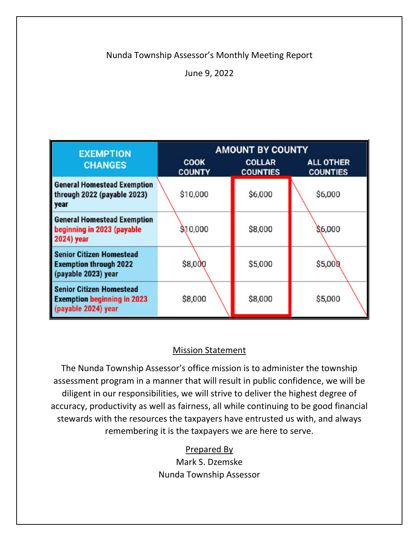# Nunda Township Assessor's Monthly Meeting Report

June 9, 2022

| <b>EXEMPTION</b>                                                                             | <b>AMOUNT BY COUNTY</b>      |                                  |                                     |  |
|----------------------------------------------------------------------------------------------|------------------------------|----------------------------------|-------------------------------------|--|
| <b>CHANGES</b>                                                                               | <b>COOK</b><br><b>COUNTY</b> | <b>COLLAR</b><br><b>COUNTIES</b> | <b>ALL OTHER</b><br><b>COUNTIES</b> |  |
| <b>General Homestead Exemption</b><br>through 2022 (payable 2023)<br>year                    | \$10,000                     | \$6,000                          | \$6,000                             |  |
| <b>General Homestead Exemption</b><br>beginning in 2023 (payable<br><b>2024)</b> year        | \$10,000                     | \$8,000                          | \$6,000                             |  |
| <b>Senior Citizen Homestead</b><br><b>Exemption through 2022</b><br>(payable 2023) year      | \$8,000                      | \$5,000                          | \$5,000                             |  |
| <b>Senior Citizen Homestead</b><br><b>Exemption beginning in 2023</b><br>(payable 2024) year | \$8,000                      | \$8,000                          | \$5,000                             |  |

# Mission Statement

The Nunda Township Assessor's office mission is to administer the township assessment program in a manner that will result in public confidence, we will be diligent in our responsibilities, we will strive to deliver the highest degree of accuracy, productivity as well as fairness, all while continuing to be good financial stewards with the resources the taxpayers have entrusted us with, and always remembering it is the taxpayers we are here to serve.

# Prepared By

Mark S. Dzemske Nunda Township Assessor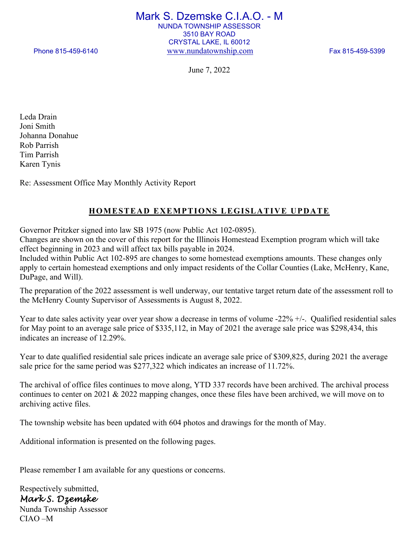Mark S. Dzemske C.I.A.O. - M NUNDA TOWNSHIP ASSESSOR 3510 BAY ROAD CRYSTAL LAKE, IL 60012 Phone 815-459-6140 www.nundatownship.com Fax 815-459-5399

June 7, 2022

Leda Drain Joni Smith Johanna Donahue Rob Parrish Tim Parrish Karen Tynis

Re: Assessment Office May Monthly Activity Report

# **HOMESTEAD EXEMPTIONS LEGISLATIVE UPDATE**

Governor Pritzker signed into law SB 1975 (now Public Act 102-0895).

Changes are shown on the cover of this report for the Illinois Homestead Exemption program which will take effect beginning in 2023 and will affect tax bills payable in 2024.

Included within Public Act 102-895 are changes to some homestead exemptions amounts. These changes only apply to certain homestead exemptions and only impact residents of the Collar Counties (Lake, McHenry, Kane, DuPage, and Will).

The preparation of the 2022 assessment is well underway, our tentative target return date of the assessment roll to the McHenry County Supervisor of Assessments is August 8, 2022.

Year to date sales activity year over year show a decrease in terms of volume -22% +/-. Qualified residential sales for May point to an average sale price of \$335,112, in May of 2021 the average sale price was \$298,434, this indicates an increase of 12.29%.

Year to date qualified residential sale prices indicate an average sale price of \$309,825, during 2021 the average sale price for the same period was \$277,322 which indicates an increase of 11.72%.

The archival of office files continues to move along, YTD 337 records have been archived. The archival process continues to center on 2021 & 2022 mapping changes, once these files have been archived, we will move on to archiving active files.

The township website has been updated with 604 photos and drawings for the month of May.

Additional information is presented on the following pages.

Please remember I am available for any questions or concerns.

Respectively submitted, *Mark S. Dzemske*  Nunda Township Assessor CIAO –M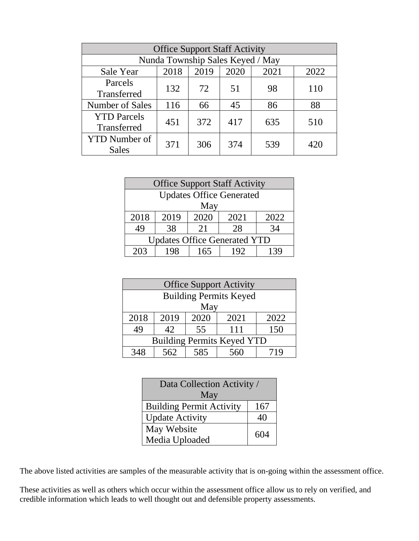| <b>Office Support Staff Activity</b> |      |      |      |      |      |
|--------------------------------------|------|------|------|------|------|
| Nunda Township Sales Keyed / May     |      |      |      |      |      |
| Sale Year                            | 2018 | 2019 | 2020 | 2021 | 2022 |
| Parcels                              | 132  |      |      |      |      |
| Transferred                          |      | 72   | 51   | 98   | 110  |
| Number of Sales                      | 116  | 66   | 45   | 86   | 88   |
| <b>YTD</b> Parcels                   | 451  |      | 417  |      |      |
| Transferred                          |      | 372  |      | 635  | 510  |
| <b>YTD</b> Number of                 |      |      | 374  |      |      |
| <b>Sales</b>                         | 371  | 306  |      | 539  | 420  |

| <b>Office Support Staff Activity</b> |      |      |      |      |
|--------------------------------------|------|------|------|------|
| <b>Updates Office Generated</b>      |      |      |      |      |
| May                                  |      |      |      |      |
| 2018                                 | 2019 | 2020 | 2021 | 2022 |
| 49                                   | 38   | 21   | 28   | 34   |
| <b>Updates Office Generated YTD</b>  |      |      |      |      |
| 203                                  | 198  | 165  | 192  | 139  |

| <b>Office Support Activity</b>    |      |      |      |      |
|-----------------------------------|------|------|------|------|
| <b>Building Permits Keyed</b>     |      |      |      |      |
| May                               |      |      |      |      |
| 2018                              | 2019 | 2020 | 2021 | 2022 |
| 49                                | 42   | 55   | 111  | 150  |
| <b>Building Permits Keyed YTD</b> |      |      |      |      |
|                                   | 562  | 585  |      | 71Q  |

| Data Collection Activity /      |     |  |
|---------------------------------|-----|--|
| May                             |     |  |
| <b>Building Permit Activity</b> | 167 |  |
| <b>Update Activity</b>          | 40  |  |
| May Website                     | 604 |  |
| Media Uploaded                  |     |  |

The above listed activities are samples of the measurable activity that is on-going within the assessment office.

These activities as well as others which occur within the assessment office allow us to rely on verified, and credible information which leads to well thought out and defensible property assessments.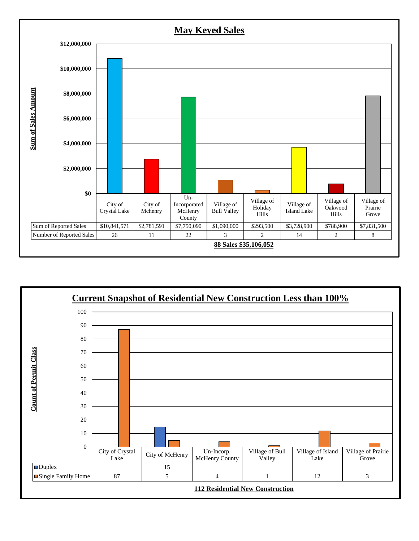

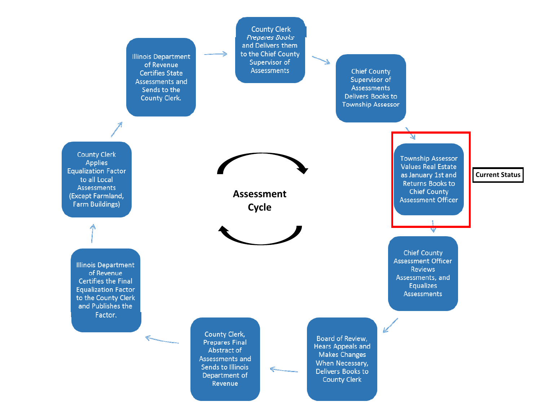